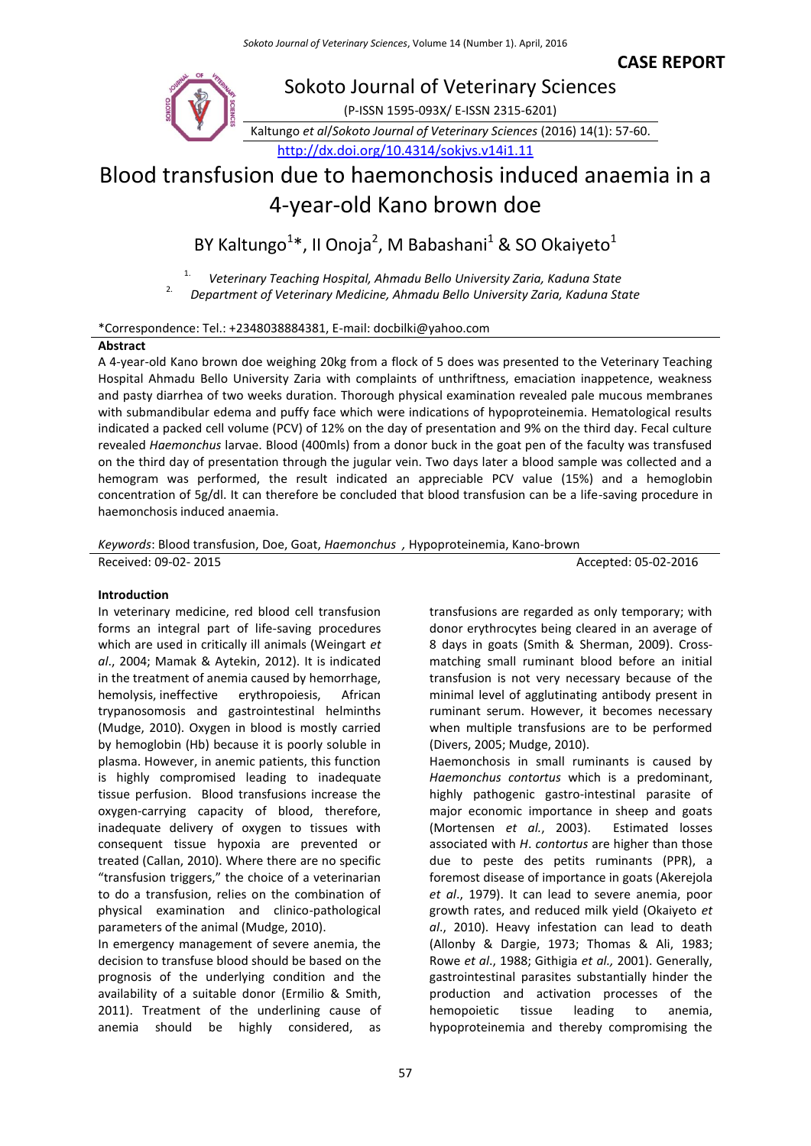**CASE REPORT**



# Blood transfusion due to haemonchosis induced anaemia in a 4-year-old Kano brown doe

BY Kaltungo<sup>1\*</sup>, II Onoja<sup>2</sup>, M Babashani<sup>1</sup> & SO Okaiyeto<sup>1</sup>

1. *Veterinary Teaching Hospital, Ahmadu Bello University Zaria, Kaduna State*

2. *Department of Veterinary Medicine, Ahmadu Bello University Zaria, Kaduna State*

# \*Correspondence: Tel.: +2348038884381, E-mail: docbilki@yahoo.com

# **Abstract**

A 4-year-old Kano brown doe weighing 20kg from a flock of 5 does was presented to the Veterinary Teaching Hospital Ahmadu Bello University Zaria with complaints of unthriftness, emaciation inappetence, weakness and pasty diarrhea of two weeks duration. Thorough physical examination revealed pale mucous membranes with submandibular edema and puffy face which were indications of hypoproteinemia. Hematological results indicated a packed cell volume (PCV) of 12% on the day of presentation and 9% on the third day. Fecal culture revealed *Haemonchus* larvae. Blood (400mls) from a donor buck in the goat pen of the faculty was transfused on the third day of presentation through the jugular vein. Two days later a blood sample was collected and a hemogram was performed, the result indicated an appreciable PCV value (15%) and a hemoglobin concentration of 5g/dl. It can therefore be concluded that blood transfusion can be a life-saving procedure in haemonchosis induced anaemia.

*Keywords*: Blood transfusion, Doe, Goat, *Haemonchus ,* Hypoproteinemia, Kano-brown

Received: 09-02- 2015 **Accepted: 05-02-2016** Accepted: 05-02-2016

# **Introduction**

In veterinary medicine, red blood cell transfusion forms an integral part of life-saving procedures which are used in critically ill animals (Weingart *et al*., 2004; Mamak & Aytekin, 2012). It is indicated in the treatment of anemia caused by hemorrhage, hemolysis, ineffective erythropoiesis, African trypanosomosis and gastrointestinal helminths (Mudge, 2010). Oxygen in blood is mostly carried by hemoglobin (Hb) because it is poorly soluble in plasma. However, in anemic patients, this function is highly compromised leading to inadequate tissue perfusion. Blood transfusions increase the oxygen-carrying capacity of blood, therefore, inadequate delivery of oxygen to tissues with consequent tissue hypoxia are prevented or treated (Callan, 2010). Where there are no specific "transfusion triggers," the choice of a veterinarian to do a transfusion, relies on the combination of physical examination and clinico-pathological parameters of the animal (Mudge, 2010).

In emergency management of severe anemia, the decision to transfuse blood should be based on the prognosis of the underlying condition and the availability of a suitable donor (Ermilio & Smith, 2011). Treatment of the underlining cause of anemia should be highly considered, as

transfusions are regarded as only temporary; with donor erythrocytes being cleared in an average of 8 days in goats (Smith & Sherman, 2009). Crossmatching small ruminant blood before an initial transfusion is not very necessary because of the minimal level of agglutinating antibody present in ruminant serum. However, it becomes necessary when multiple transfusions are to be performed (Divers, 2005; Mudge, 2010).

Haemonchosis in small ruminants is caused by *Haemonchus contortus* which is a predominant, highly pathogenic gastro-intestinal parasite of major economic importance in sheep and goats (Mortensen *et al.*, 2003). Estimated losses associated with *H*. *contortus* are higher than those due to peste des petits ruminants (PPR), a foremost disease of importance in goats (Akerejola *et al*., 1979). It can lead to severe anemia, poor growth rates, and reduced milk yield (Okaiyeto *et al*., 2010). Heavy infestation can lead to death (Allonby & Dargie, 1973; Thomas & Ali, 1983; Rowe *et al*., 1988; Githigia *et al.,* 2001). Generally, gastrointestinal parasites substantially hinder the production and activation processes of the hemopoietic tissue leading to anemia, hypoproteinemia and thereby compromising the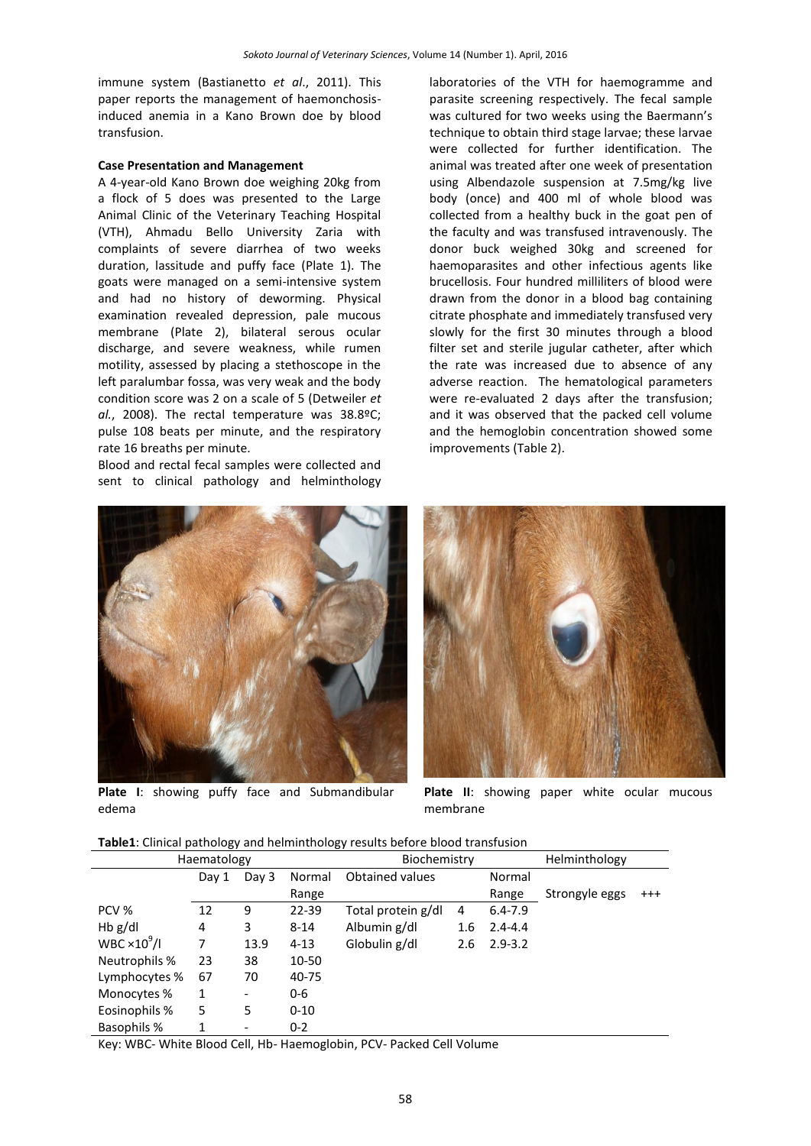immune system (Bastianetto *et al*., 2011). This paper reports the management of haemonchosisinduced anemia in a Kano Brown doe by blood transfusion.

#### **Case Presentation and Management**

A 4-year-old Kano Brown doe weighing 20kg from a flock of 5 does was presented to the Large Animal Clinic of the Veterinary Teaching Hospital (VTH), Ahmadu Bello University Zaria with complaints of severe diarrhea of two weeks duration, lassitude and puffy face (Plate 1). The goats were managed on a semi-intensive system and had no history of deworming. Physical examination revealed depression, pale mucous membrane (Plate 2), bilateral serous ocular discharge, and severe weakness, while rumen motility, assessed by placing a stethoscope in the left paralumbar fossa, was very weak and the body condition score was 2 on a scale of 5 (Detweiler *et al.*, 2008). The rectal temperature was 38.8ºC; pulse 108 beats per minute, and the respiratory rate 16 breaths per minute.

Blood and rectal fecal samples were collected and sent to clinical pathology and helminthology



**Plate I**: showing puffy face and Submandibular edema

laboratories of the VTH for haemogramme and parasite screening respectively. The fecal sample was cultured for two weeks using the Baermann's technique to obtain third stage larvae; these larvae were collected for further identification. The animal was treated after one week of presentation using Albendazole suspension at 7.5mg/kg live body (once) and 400 ml of whole blood was collected from a healthy buck in the goat pen of the faculty and was transfused intravenously. The donor buck weighed 30kg and screened for haemoparasites and other infectious agents like brucellosis. Four hundred milliliters of blood were drawn from the donor in a blood bag containing citrate phosphate and immediately transfused very slowly for the first 30 minutes through a blood filter set and sterile jugular catheter, after which the rate was increased due to absence of any adverse reaction. The hematological parameters were re-evaluated 2 days after the transfusion; and it was observed that the packed cell volume and the hemoglobin concentration showed some improvements (Table 2).



**Plate II**: showing paper white ocular mucous membrane

| Table1: Clinical pathology and helminthology results before blood transfusion |  |  |
|-------------------------------------------------------------------------------|--|--|
|-------------------------------------------------------------------------------|--|--|

|                                 | Haematology |       |          | Biochemistry           |     |             | Helminthology  |          |
|---------------------------------|-------------|-------|----------|------------------------|-----|-------------|----------------|----------|
|                                 | Day 1       | Day 3 | Normal   | <b>Obtained values</b> |     | Normal      |                |          |
|                                 |             |       | Range    |                        |     | Range       | Strongyle eggs | $^{+++}$ |
| PCV %                           | 12          | 9     | 22-39    | Total protein g/dl     | 4   | $6.4 - 7.9$ |                |          |
| $Hb$ g/dl                       | 4           | 3     | $8 - 14$ | Albumin g/dl           | 1.6 | $2.4 - 4.4$ |                |          |
| WBC $\times$ 10 <sup>9</sup> /l | 7           | 13.9  | $4 - 13$ | Globulin g/dl          | 2.6 | $2.9 - 3.2$ |                |          |
| Neutrophils %                   | 23          | 38    | 10-50    |                        |     |             |                |          |
| Lymphocytes %                   | 67          | 70    | 40-75    |                        |     |             |                |          |
| Monocytes %                     | 1           |       | $0 - 6$  |                        |     |             |                |          |
| Eosinophils %                   | 5           | 5     | $0 - 10$ |                        |     |             |                |          |
| <b>Basophils %</b>              |             |       | $0 - 2$  |                        |     |             |                |          |

Key: WBC- White Blood Cell, Hb- Haemoglobin, PCV- Packed Cell Volume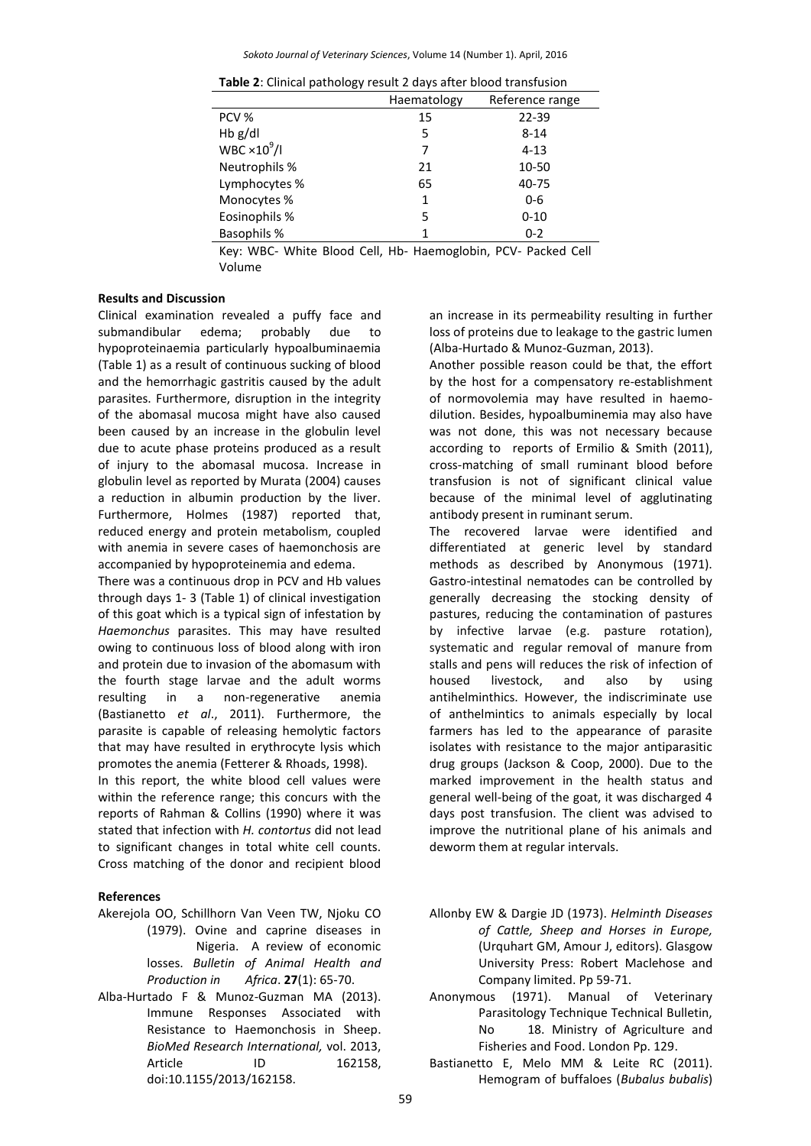*Sokoto Journal of Veterinary Sciences*, Volume 14 (Number 1). April, 2016

| ັ                    |             |                 |
|----------------------|-------------|-----------------|
|                      | Haematology | Reference range |
| PCV %                | 15          | $22 - 39$       |
| $Hb$ g/dl            | 5           | $8 - 14$        |
| WBC $\times 10^9$ /I |             | $4 - 13$        |
| Neutrophils %        | 21          | 10-50           |
| Lymphocytes %        | 65          | 40-75           |
| Monocytes %          | 1           | 0-6             |
| Eosinophils %        | 5           | $0 - 10$        |
| <b>Basophils %</b>   |             | $0 - 2$         |

**Table 2**: Clinical pathology result 2 days after blood transfusion

Key: WBC- White Blood Cell, Hb- Haemoglobin, PCV- Packed Cell Volume

### **Results and Discussion**

Clinical examination revealed a puffy face and submandibular edema; probably due to hypoproteinaemia particularly hypoalbuminaemia (Table 1) as a result of continuous sucking of blood and the hemorrhagic gastritis caused by the adult parasites. Furthermore, disruption in the integrity of the abomasal mucosa might have also caused been caused by an increase in the globulin level due to acute phase proteins produced as a result of injury to the abomasal mucosa. Increase in globulin level as reported by Murata (2004) causes a reduction in albumin production by the liver. Furthermore, Holmes (1987) reported that, reduced energy and protein metabolism, coupled with anemia in severe cases of haemonchosis are accompanied by hypoproteinemia and edema.

There was a continuous drop in PCV and Hb values through days 1- 3 (Table 1) of clinical investigation of this goat which is a typical sign of infestation by *Haemonchus* parasites. This may have resulted owing to continuous loss of blood along with iron and protein due to invasion of the abomasum with the fourth stage larvae and the adult worms resulting in a non-regenerative anemia (Bastianetto *et al*., 2011). Furthermore, the parasite is capable of releasing hemolytic factors that may have resulted in erythrocyte lysis which promotes the anemia (Fetterer & Rhoads, 1998).

In this report, the white blood cell values were within the reference range; this concurs with the reports of Rahman & Collins (1990) where it was stated that infection with *H. contortus* did not lead to significant changes in total white cell counts. Cross matching of the donor and recipient blood

# **References**

- Akerejola OO, Schillhorn Van Veen TW, Njoku CO (1979). Ovine and caprine diseases in Nigeria. A review of economic losses. *Bulletin of Animal Health and Production in Africa*. **27**(1): 65-70.
- Alba-Hurtado F & Munoz-Guzman MA (2013). Immune Responses Associated with Resistance to Haemonchosis in Sheep. *BioMed Research International,* vol. 2013, Article ID 162158, doi:10.1155/2013/162158.

an increase in its permeability resulting in further loss of proteins due to leakage to the gastric lumen (Alba-Hurtado & Munoz-Guzman, 2013).

Another possible reason could be that, the effort by the host for a compensatory re-establishment of normovolemia may have resulted in haemodilution. Besides, hypoalbuminemia may also have was not done, this was not necessary because according to reports of Ermilio & Smith (2011), cross-matching of small ruminant blood before transfusion is not of significant clinical value because of the minimal level of agglutinating antibody present in ruminant serum.

The recovered larvae were identified and differentiated at generic level by standard methods as described by Anonymous (1971). Gastro-intestinal nematodes can be controlled by generally decreasing the stocking density of pastures, reducing the contamination of pastures by infective larvae (e.g. pasture rotation), systematic and regular removal of manure from stalls and pens will reduces the risk of infection of housed livestock, and also by using antihelminthics. However, the indiscriminate use of anthelmintics to animals especially by local farmers has led to the appearance of parasite isolates with resistance to the major antiparasitic drug groups (Jackson & Coop, 2000). Due to the marked improvement in the health status and general well-being of the goat, it was discharged 4 days post transfusion. The client was advised to improve the nutritional plane of his animals and deworm them at regular intervals.

- Allonby EW & Dargie JD (1973). *Helminth Diseases of Cattle, Sheep and Horses in Europe,* (Urquhart GM, Amour J, editors). Glasgow University Press: Robert Maclehose and Company limited. Pp 59-71.
- Anonymous (1971). Manual of Veterinary Parasitology Technique Technical Bulletin, No 18. Ministry of Agriculture and Fisheries and Food. London Pp. 129.

Bastianetto E, Melo MM & Leite RC (2011). Hemogram of buffaloes (*Bubalus bubalis*)